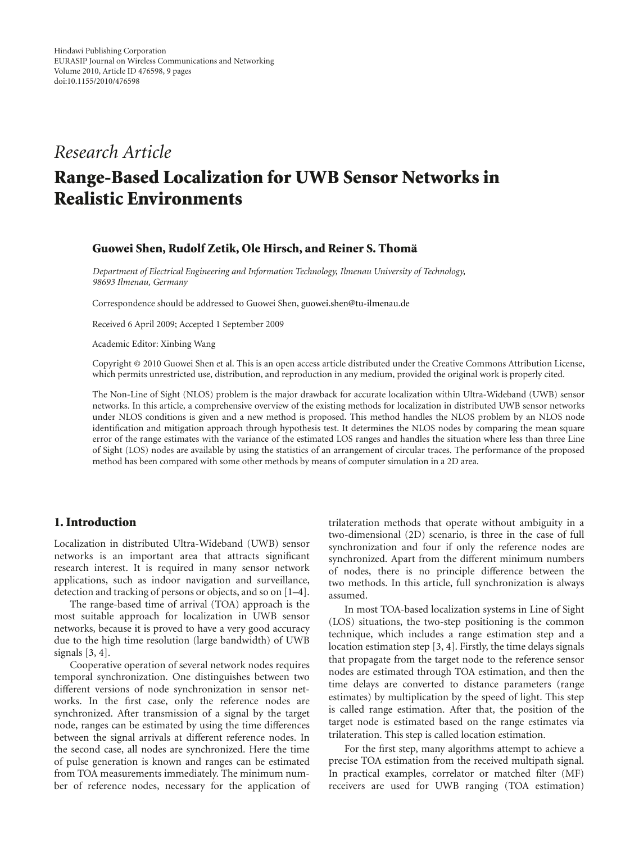# *Research Article*

# **Range-Based Localization for UWB Sensor Networks in Realistic Environments**

#### **Guowei Shen, Rudolf Zetik, Ole Hirsch, and Reiner S. Thoma¨**

*Department of Electrical Engineering and Information Technology, Ilmenau University of Technology, 98693 Ilmenau, Germany*

Correspondence should be addressed to Guowei Shen, guowei.shen@tu-ilmenau.de

Received 6 April 2009; Accepted 1 September 2009

Academic Editor: Xinbing Wang

Copyright © 2010 Guowei Shen et al. This is an open access article distributed under the Creative Commons Attribution License, which permits unrestricted use, distribution, and reproduction in any medium, provided the original work is properly cited.

The Non-Line of Sight (NLOS) problem is the major drawback for accurate localization within Ultra-Wideband (UWB) sensor networks. In this article, a comprehensive overview of the existing methods for localization in distributed UWB sensor networks under NLOS conditions is given and a new method is proposed. This method handles the NLOS problem by an NLOS node identification and mitigation approach through hypothesis test. It determines the NLOS nodes by comparing the mean square error of the range estimates with the variance of the estimated LOS ranges and handles the situation where less than three Line of Sight (LOS) nodes are available by using the statistics of an arrangement of circular traces. The performance of the proposed method has been compared with some other methods by means of computer simulation in a 2D area.

# **1. Introduction**

Localization in distributed Ultra-Wideband (UWB) sensor networks is an important area that attracts significant research interest. It is required in many sensor network applications, such as indoor navigation and surveillance, detection and tracking of persons or objects, and so on [1–4].

The range-based time of arrival (TOA) approach is the most suitable approach for localization in UWB sensor networks, because it is proved to have a very good accuracy due to the high time resolution (large bandwidth) of UWB signals [3, 4].

Cooperative operation of several network nodes requires temporal synchronization. One distinguishes between two different versions of node synchronization in sensor networks. In the first case, only the reference nodes are synchronized. After transmission of a signal by the target node, ranges can be estimated by using the time differences between the signal arrivals at different reference nodes. In the second case, all nodes are synchronized. Here the time of pulse generation is known and ranges can be estimated from TOA measurements immediately. The minimum number of reference nodes, necessary for the application of

trilateration methods that operate without ambiguity in a two-dimensional (2D) scenario, is three in the case of full synchronization and four if only the reference nodes are synchronized. Apart from the different minimum numbers of nodes, there is no principle difference between the two methods. In this article, full synchronization is always assumed.

In most TOA-based localization systems in Line of Sight (LOS) situations, the two-step positioning is the common technique, which includes a range estimation step and a location estimation step [3, 4]. Firstly, the time delays signals that propagate from the target node to the reference sensor nodes are estimated through TOA estimation, and then the time delays are converted to distance parameters (range estimates) by multiplication by the speed of light. This step is called range estimation. After that, the position of the target node is estimated based on the range estimates via trilateration. This step is called location estimation.

For the first step, many algorithms attempt to achieve a precise TOA estimation from the received multipath signal. In practical examples, correlator or matched filter (MF) receivers are used for UWB ranging (TOA estimation)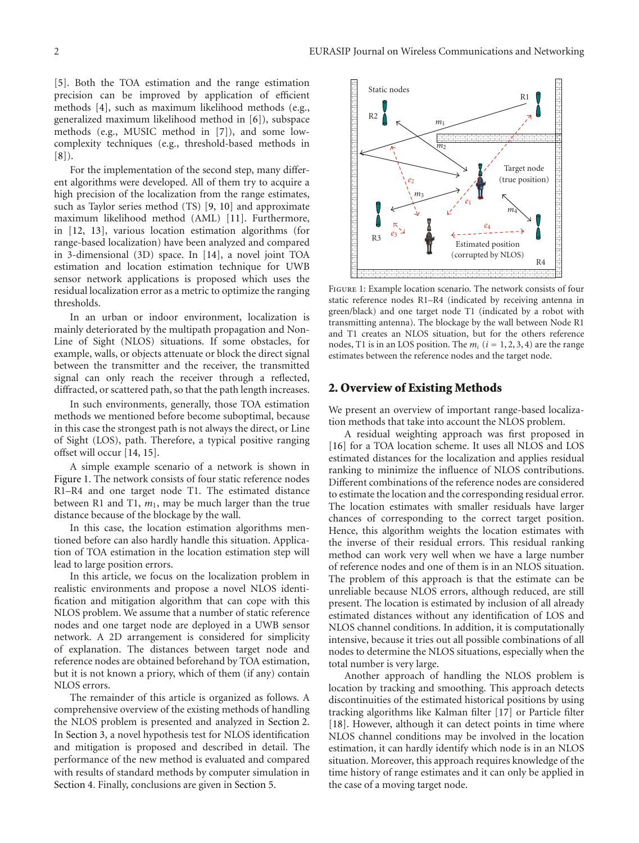[5]. Both the TOA estimation and the range estimation precision can be improved by application of efficient methods [4], such as maximum likelihood methods (e.g., generalized maximum likelihood method in [6]), subspace methods (e.g., MUSIC method in [7]), and some lowcomplexity techniques (e.g., threshold-based methods in  $[8]$ .

For the implementation of the second step, many different algorithms were developed. All of them try to acquire a high precision of the localization from the range estimates, such as Taylor series method (TS) [9, 10] and approximate maximum likelihood method (AML) [11]. Furthermore, in [12, 13], various location estimation algorithms (for range-based localization) have been analyzed and compared in 3-dimensional (3D) space. In [14], a novel joint TOA estimation and location estimation technique for UWB sensor network applications is proposed which uses the residual localization error as a metric to optimize the ranging thresholds.

In an urban or indoor environment, localization is mainly deteriorated by the multipath propagation and Non-Line of Sight (NLOS) situations. If some obstacles, for example, walls, or objects attenuate or block the direct signal between the transmitter and the receiver, the transmitted signal can only reach the receiver through a reflected, diffracted, or scattered path, so that the path length increases.

In such environments, generally, those TOA estimation methods we mentioned before become suboptimal, because in this case the strongest path is not always the direct, or Line of Sight (LOS), path. Therefore, a typical positive ranging offset will occur [14, 15].

A simple example scenario of a network is shown in Figure 1. The network consists of four static reference nodes R1–R4 and one target node T1. The estimated distance between R1 and T1,  $m_1$ , may be much larger than the true distance because of the blockage by the wall.

In this case, the location estimation algorithms mentioned before can also hardly handle this situation. Application of TOA estimation in the location estimation step will lead to large position errors.

In this article, we focus on the localization problem in realistic environments and propose a novel NLOS identification and mitigation algorithm that can cope with this NLOS problem. We assume that a number of static reference nodes and one target node are deployed in a UWB sensor network. A 2D arrangement is considered for simplicity of explanation. The distances between target node and reference nodes are obtained beforehand by TOA estimation, but it is not known a priory, which of them (if any) contain NLOS errors.

The remainder of this article is organized as follows. A comprehensive overview of the existing methods of handling the NLOS problem is presented and analyzed in Section 2. In Section 3, a novel hypothesis test for NLOS identification and mitigation is proposed and described in detail. The performance of the new method is evaluated and compared with results of standard methods by computer simulation in Section 4. Finally, conclusions are given in Section 5.



Figure 1: Example location scenario. The network consists of four static reference nodes R1–R4 (indicated by receiving antenna in green/black) and one target node T1 (indicated by a robot with transmitting antenna). The blockage by the wall between Node R1 and T1 creates an NLOS situation, but for the others reference nodes, T1 is in an LOS position. The  $m_i$  ( $i = 1, 2, 3, 4$ ) are the range estimates between the reference nodes and the target node.

## **2. Overview of Existing Methods**

We present an overview of important range-based localization methods that take into account the NLOS problem.

A residual weighting approach was first proposed in [16] for a TOA location scheme. It uses all NLOS and LOS estimated distances for the localization and applies residual ranking to minimize the influence of NLOS contributions. Different combinations of the reference nodes are considered to estimate the location and the corresponding residual error. The location estimates with smaller residuals have larger chances of corresponding to the correct target position. Hence, this algorithm weights the location estimates with the inverse of their residual errors. This residual ranking method can work very well when we have a large number of reference nodes and one of them is in an NLOS situation. The problem of this approach is that the estimate can be unreliable because NLOS errors, although reduced, are still present. The location is estimated by inclusion of all already estimated distances without any identification of LOS and NLOS channel conditions. In addition, it is computationally intensive, because it tries out all possible combinations of all nodes to determine the NLOS situations, especially when the total number is very large.

Another approach of handling the NLOS problem is location by tracking and smoothing. This approach detects discontinuities of the estimated historical positions by using tracking algorithms like Kalman filter [17] or Particle filter [18]. However, although it can detect points in time where NLOS channel conditions may be involved in the location estimation, it can hardly identify which node is in an NLOS situation. Moreover, this approach requires knowledge of the time history of range estimates and it can only be applied in the case of a moving target node.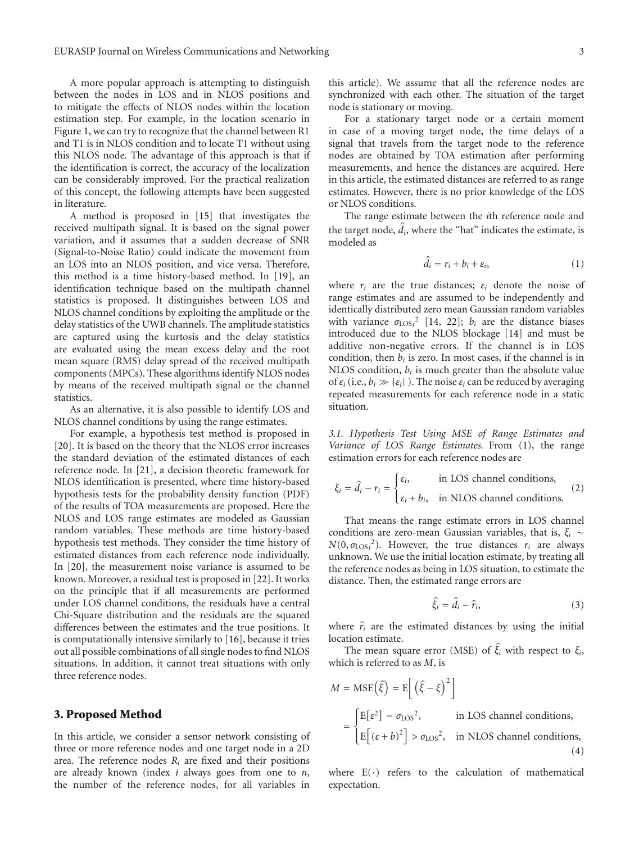A more popular approach is attempting to distinguish between the nodes in LOS and in NLOS positions and to mitigate the effects of NLOS nodes within the location estimation step. For example, in the location scenario in Figure 1, we can try to recognize that the channel between R1 and T1 is in NLOS condition and to locate T1 without using this NLOS node. The advantage of this approach is that if the identification is correct, the accuracy of the localization can be considerably improved. For the practical realization of this concept, the following attempts have been suggested in literature.

A method is proposed in [15] that investigates the received multipath signal. It is based on the signal power variation, and it assumes that a sudden decrease of SNR (Signal-to-Noise Ratio) could indicate the movement from an LOS into an NLOS position, and vice versa. Therefore, this method is a time history-based method. In [19], an identification technique based on the multipath channel statistics is proposed. It distinguishes between LOS and NLOS channel conditions by exploiting the amplitude or the delay statistics of the UWB channels. The amplitude statistics are captured using the kurtosis and the delay statistics are evaluated using the mean excess delay and the root mean square (RMS) delay spread of the received multipath components (MPCs). These algorithms identify NLOS nodes by means of the received multipath signal or the channel statistics.

As an alternative, it is also possible to identify LOS and NLOS channel conditions by using the range estimates.

For example, a hypothesis test method is proposed in [20]. It is based on the theory that the NLOS error increases the standard deviation of the estimated distances of each reference node. In [21], a decision theoretic framework for NLOS identification is presented, where time history-based hypothesis tests for the probability density function (PDF) of the results of TOA measurements are proposed. Here the NLOS and LOS range estimates are modeled as Gaussian random variables. These methods are time history-based hypothesis test methods. They consider the time history of estimated distances from each reference node individually. In [20], the measurement noise variance is assumed to be known. Moreover, a residual test is proposed in [22]. It works on the principle that if all measurements are performed under LOS channel conditions, the residuals have a central Chi-Square distribution and the residuals are the squared differences between the estimates and the true positions. It is computationally intensive similarly to [16], because it tries out all possible combinations of all single nodes to find NLOS situations. In addition, it cannot treat situations with only three reference nodes.

## **3. Proposed Method**

In this article, we consider a sensor network consisting of three or more reference nodes and one target node in a 2D area. The reference nodes  $R_i$  are fixed and their positions are already known (index *i* always goes from one to *n*, the number of the reference nodes, for all variables in

this article). We assume that all the reference nodes are synchronized with each other. The situation of the target node is stationary or moving.

For a stationary target node or a certain moment in case of a moving target node, the time delays of a signal that travels from the target node to the reference nodes are obtained by TOA estimation after performing measurements, and hence the distances are acquired. Here in this article, the estimated distances are referred to as range estimates. However, there is no prior knowledge of the LOS or NLOS conditions. -

The range estimate between the *i*th reference node and the target node,  $d_i$ , where the "hat" indicates the estimate, is modeled as

$$
\hat{d}_i = r_i + b_i + \varepsilon_i,\tag{1}
$$

where  $r_i$  are the true distances;  $\varepsilon_i$  denote the noise of range estimates and are assumed to be independently and identically distributed zero mean Gaussian random variables with variance  $\sigma_{\text{LOS}i}^2$  [14, 22];  $b_i$  are the distance biases introduced due to the NLOS blockage [14] and must be additive non-negative errors. If the channel is in LOS condition, then  $b_i$  is zero. In most cases, if the channel is in NLOS condition, *bi* is much greater than the absolute value of  $\varepsilon_i$  (i.e.,  $b_i \gg |\varepsilon_i|$ ). The noise  $\varepsilon_i$  can be reduced by averaging repeated measurements for each reference node in a static situation.

*3.1. Hypothesis Test Using MSE of Range Estimates and* Variance of LOS Range Estimates. From (1), the range estimation errors for each reference nodes are

$$
\xi_i = \hat{d}_i - r_i = \begin{cases} \varepsilon_i, & \text{in LOS channel conditions,} \\ \varepsilon_i + b_i, & \text{in NLOS channel conditions.} \end{cases} \tag{2}
$$

That means the range estimate errors in LOS channel conditions are zero-mean Gaussian variables, that is, *ξi* ∼  $N(0, \sigma_{\text{LOS}i}^2)$ . However, the true distances  $r_i$  are always unknown. We use the initial location estimate, by treating all the reference nodes as being in LOS situation, to estimate the -distance. Then, the estimated range errors are<br> $\hat{\xi}_i = \hat{d}_i - \hat{r}_i$ ,

$$
\hat{\xi}_i = \hat{d}_i - \hat{r}_i,\tag{3}
$$

 $\hat{\xi}_i = \hat{d}_i - \hat{r}_i,$  (3)<br>where  $\hat{r}_i$  are the estimated distances by using the initial location estimate. Exercise mean square error (MSE) of  $\hat{\xi}_i$  with respect to  $\xi_i$ , The mean square error (MSE) of  $\hat{\xi}_i$  with respect to  $\xi_i$ ,

which is referred to as *M*, is The mean square<br>which is referred to as .<br> $M = \text{MSE}(\hat{\xi}) = \text{E}\left[\frac{\hat{\xi}}{\hat{\xi}}\right]$ 

$$
M = \text{MSE}(\hat{\xi}) = \mathbb{E}\left[\left(\hat{\xi} - \xi\right)^2\right]
$$

$$
= \begin{cases} \mathbb{E}[\varepsilon^2] = \sigma_{\text{LOS}}^2, & \text{in LOS channel conditions,} \\ \mathbb{E}[(\varepsilon + b)^2] > \sigma_{\text{LOS}}^2, & \text{in NLOS channel conditions,} \end{cases}
$$
(4)

where  $E(\cdot)$  refers to the calculation of mathematical expectation.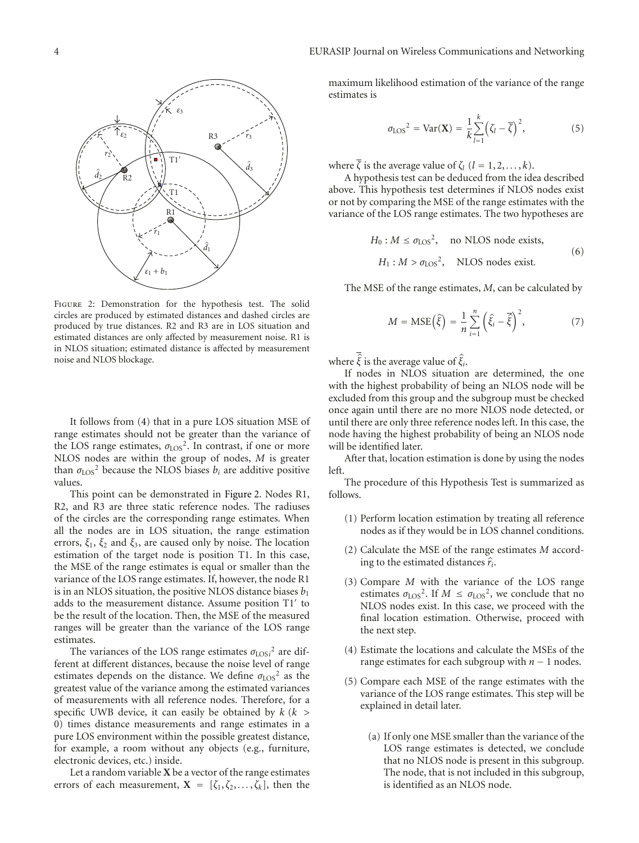

Figure 2: Demonstration for the hypothesis test. The solid circles are produced by estimated distances and dashed circles are produced by true distances. R2 and R3 are in LOS situation and estimated distances are only affected by measurement noise. R1 is in NLOS situation; estimated distance is affected by measurement noise and NLOS blockage.

It follows from (4) that in a pure LOS situation MSE of range estimates should not be greater than the variance of the LOS range estimates,  $\sigma_{\text{LOS}}^2$ . In contrast, if one or more NLOS nodes are within the group of nodes, *M* is greater than  $\sigma_{LOS}^2$  because the NLOS biases  $b_i$  are additive positive values.

This point can be demonstrated in Figure 2. Nodes R1, R2, and R3 are three static reference nodes. The radiuses of the circles are the corresponding range estimates. When all the nodes are in LOS situation, the range estimation errors,  $\xi_1$ ,  $\xi_2$  and  $\xi_3$ , are caused only by noise. The location estimation of the target node is position T1. In this case, the MSE of the range estimates is equal or smaller than the variance of the LOS range estimates. If, however, the node R1 is in an NLOS situation, the positive NLOS distance biases *b*<sup>1</sup> adds to the measurement distance. Assume position T1' to be the result of the location. Then, the MSE of the measured ranges will be greater than the variance of the LOS range estimates.

The variances of the LOS range estimates  $\sigma_{\text{LOS}i}^2$  are different at different distances, because the noise level of range estimates depends on the distance. We define  $σ_{LOS}^2$  as the greatest value of the variance among the estimated variances of measurements with all reference nodes. Therefore, for a specific UWB device, it can easily be obtained by *k* (*k >* 0) times distance measurements and range estimates in a pure LOS environment within the possible greatest distance, for example, a room without any objects (e.g., furniture, electronic devices, etc.) inside.

Let a random variable **X** be a vector of the range estimates errors of each measurement,  $X = [\zeta_1, \zeta_2, \dots, \zeta_k]$ , then the

maximum likelihood estimation of the variance of the range<br>estimates is estimates is

$$
\sigma_{\text{LOS}}^2 = \text{Var}(\mathbf{X}) = \frac{1}{k} \sum_{l=1}^k \left( \zeta_l - \overline{\zeta} \right)^2, \tag{5}
$$

where  $\overline{\zeta}$  is the average value of  $\zeta_l$  ( $l = 1, 2, \ldots, k$ ).

A hypothesis test can be deduced from the idea described above. This hypothesis test determines if NLOS nodes exist or not by comparing the MSE of the range estimates with the variance of the LOS range estimates. The two hypotheses are

$$
H_0: M \le \sigma_{LOS}^2
$$
, no NLOS node exists,  
 $H_1: M > \sigma_{LOS}^2$ , NLOS nodes exist. (6)

 $\overline{a}$ 

The MSE of the range estimates, *M*, can be calculated by  
\n
$$
M = \text{MSE}(\hat{\xi}) = \frac{1}{n} \sum_{i=1}^{n} (\hat{\xi}_i - \overline{\hat{\xi}})^2, \qquad (7)
$$

where  $\overline{\hat{\xi}}$  is the average value of  $\hat{\xi}_i$ .

If nodes in NLOS situation are determined, the one with the highest probability of being an NLOS node will be excluded from this group and the subgroup must be checked once again until there are no more NLOS node detected, or until there are only three reference nodes left. In this case, the node having the highest probability of being an NLOS node will be identified later.

After that, location estimation is done by using the nodes left.

The procedure of this Hypothesis Test is summarized as follows.

- (1) Perform location estimation by treating all reference nodes as if they would be in LOS channel conditions.
- (2) Calculate the MSE of the range estimates *M* accordnodes as it they would be in LO<br>Calculate the MSE of the range<br>ing to the estimated distances  $\hat{r}$ ing to the estimated distances  $\hat{r}_i$ .
- (3) Compare *M* with the variance of the LOS range estimates  $\sigma_{\text{LOS}}^2$ . If  $M \leq \sigma_{\text{LOS}}^2$ , we conclude that no NLOS nodes exist. In this case, we proceed with the final location estimation. Otherwise, proceed with the next step.
- (4) Estimate the locations and calculate the MSEs of the range estimates for each subgroup with *n* − 1 nodes.
- (5) Compare each MSE of the range estimates with the variance of the LOS range estimates. This step will be explained in detail later.
	- (a) If only one MSE smaller than the variance of the LOS range estimates is detected, we conclude that no NLOS node is present in this subgroup. The node, that is not included in this subgroup, is identified as an NLOS node.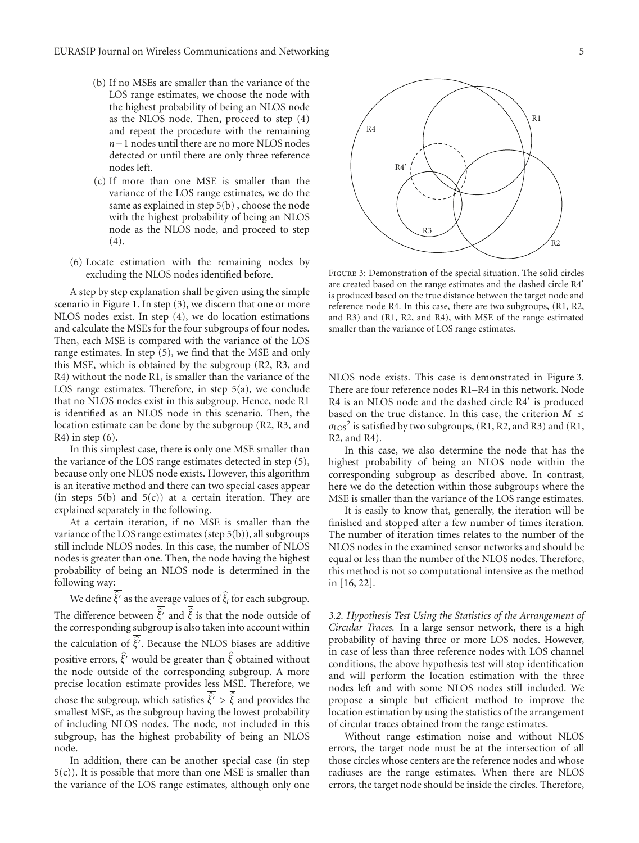- (b) If no MSEs are smaller than the variance of the LOS range estimates, we choose the node with the highest probability of being an NLOS node as the NLOS node. Then, proceed to step (4) and repeat the procedure with the remaining *n*−1 nodes until there are no more NLOS nodes detected or until there are only three reference nodes left.
- (c) If more than one MSE is smaller than the variance of the LOS range estimates, we do the same as explained in step 5(b) , choose the node with the highest probability of being an NLOS node as the NLOS node, and proceed to step  $(4).$
- (6) Locate estimation with the remaining nodes by excluding the NLOS nodes identified before.

A step by step explanation shall be given using the simple scenario in Figure 1. In step (3), we discern that one or more NLOS nodes exist. In step (4), we do location estimations and calculate the MSEs for the four subgroups of four nodes. Then, each MSE is compared with the variance of the LOS range estimates. In step (5), we find that the MSE and only this MSE, which is obtained by the subgroup (R2, R3, and R4) without the node R1, is smaller than the variance of the LOS range estimates. Therefore, in step 5(a), we conclude that no NLOS nodes exist in this subgroup. Hence, node R1 is identified as an NLOS node in this scenario. Then, the location estimate can be done by the subgroup (R2, R3, and  $R4$ ) in step  $(6)$ .

In this simplest case, there is only one MSE smaller than the variance of the LOS range estimates detected in step (5), because only one NLOS node exists. However, this algorithm is an iterative method and there can two special cases appear (in steps  $5(b)$  and  $5(c)$ ) at a certain iteration. They are explained separately in the following.

At a certain iteration, if no MSE is smaller than the variance of the LOS range estimates (step 5(b)), all subgroups still include NLOS nodes. In this case, the number of NLOS nodes is greater than one. Then, the node having the highest probability of being an NLOS node is determined in the following way: bability of being an NLOS node is determined in the owing way:<br>We define  $\hat{\xi}$ <sup>*i*</sup> as the average values of  $\hat{\xi}$ <sup>*i*</sup> for each subgroup.

following way:<br>We define  $\hat{\vec{\xi'}}$  as the average values of  $\hat{\xi}_i$  for each subgroup.<br>The difference between  $\hat{\vec{\xi'}}$  and  $\hat{\vec{\xi}}$  is that the node outside of *z l c* and  $\frac{\overline{\hat{\xi}}}{\hat{\xi}}$  and  $\frac{\overline{\hat{\xi}}}{\hat{\xi}}$ the corresponding subgroup is also taken into account within The difference between  $\hat{\xi}'$  and  $\hat{\xi}$  is that the node outside of the corresponding subgroup is also taken into account within the calculation of  $\hat{\xi}'$ . Because the NLOS biases are additive the corresponding subgroup is also taken into account within<br>the calculation of  $\overline{\hat{\xi'}}$ . Because the NLOS biases are additive<br>positive errors,  $\overline{\hat{\xi'}}$  would be greater than  $\overline{\hat{\xi}}$  obtained without the node outside of the corresponding subgroup. A more precise location estimate provides less MSE. Therefore, we the node outside of the corresponding subgroup. A more precise location estimate provides less MSE. Therefore, we chose the subgroup, which satisfies  $\hat{\vec{\xi'}} > \hat{\vec{\xi}}$  and provides the smallest MSE, as the subgroup having the lowest probability of including NLOS nodes. The node, not included in this subgroup, has the highest probability of being an NLOS node.

In addition, there can be another special case (in step  $5(c)$ ). It is possible that more than one MSE is smaller than the variance of the LOS range estimates, although only one



Figure 3: Demonstration of the special situation. The solid circles are created based on the range estimates and the dashed circle R4 is produced based on the true distance between the target node and reference node R4. In this case, there are two subgroups, (R1, R2, and R3) and (R1, R2, and R4), with MSE of the range estimated smaller than the variance of LOS range estimates.

NLOS node exists. This case is demonstrated in Figure 3. There are four reference nodes R1–R4 in this network. Node R4 is an NLOS node and the dashed circle R4' is produced based on the true distance. In this case, the criterion  $M \leq$ *σ*LOS<sup>2</sup> is satisfied by two subgroups, (R1, R2, and R3) and (R1, R2, and R4).

In this case, we also determine the node that has the highest probability of being an NLOS node within the corresponding subgroup as described above. In contrast, here we do the detection within those subgroups where the MSE is smaller than the variance of the LOS range estimates.

It is easily to know that, generally, the iteration will be finished and stopped after a few number of times iteration. The number of iteration times relates to the number of the NLOS nodes in the examined sensor networks and should be equal or less than the number of the NLOS nodes. Therefore, this method is not so computational intensive as the method in [16, 22].

*3.2. Hypothesis Test Using the Statistics of the Arrangement of Circular Traces.* In a large sensor network, there is a high probability of having three or more LOS nodes. However, in case of less than three reference nodes with LOS channel conditions, the above hypothesis test will stop identification and will perform the location estimation with the three nodes left and with some NLOS nodes still included. We propose a simple but efficient method to improve the location estimation by using the statistics of the arrangement of circular traces obtained from the range estimates.

Without range estimation noise and without NLOS errors, the target node must be at the intersection of all those circles whose centers are the reference nodes and whose radiuses are the range estimates. When there are NLOS errors, the target node should be inside the circles. Therefore,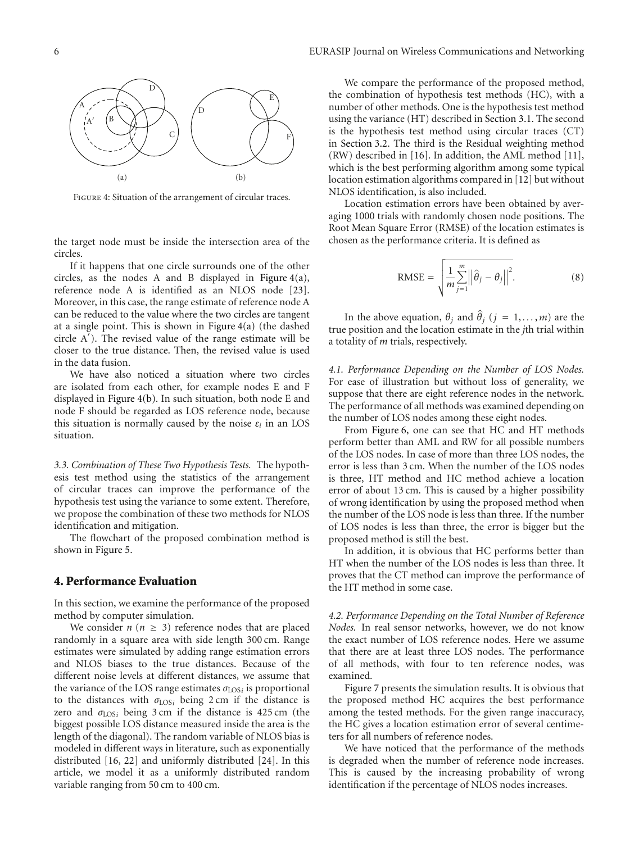

Figure 4: Situation of the arrangement of circular traces.

the target node must be inside the intersection area of the circles.

If it happens that one circle surrounds one of the other circles, as the nodes A and B displayed in Figure 4(a), reference node A is identified as an NLOS node [23]. Moreover, in this case, the range estimate of reference node A can be reduced to the value where the two circles are tangent at a single point. This is shown in Figure 4(a) (the dashed circle A ). The revised value of the range estimate will be closer to the true distance. Then, the revised value is used in the data fusion.

We have also noticed a situation where two circles are isolated from each other, for example nodes E and F displayed in Figure 4(b). In such situation, both node E and node F should be regarded as LOS reference node, because this situation is normally caused by the noise  $\varepsilon_i$  in an LOS situation.

*3.3. Combination of These Two Hypothesis Tests.* The hypothesis test method using the statistics of the arrangement of circular traces can improve the performance of the hypothesis test using the variance to some extent. Therefore, we propose the combination of these two methods for NLOS identification and mitigation.

The flowchart of the proposed combination method is shown in Figure 5.

#### **4. Performance Evaluation**

In this section, we examine the performance of the proposed method by computer simulation.

We consider  $n (n \geq 3)$  reference nodes that are placed randomly in a square area with side length 300 cm. Range estimates were simulated by adding range estimation errors and NLOS biases to the true distances. Because of the different noise levels at different distances, we assume that the variance of the LOS range estimates  $\sigma_{\text{LOS}i}$  is proportional to the distances with  $\sigma_{\text{LOS}i}$  being 2 cm if the distance is zero and *σ*LOS*<sup>i</sup>* being 3 cm if the distance is 425 cm (the biggest possible LOS distance measured inside the area is the length of the diagonal). The random variable of NLOS bias is modeled in different ways in literature, such as exponentially distributed [16, 22] and uniformly distributed [24]. In this article, we model it as a uniformly distributed random variable ranging from 50 cm to 400 cm.

We compare the performance of the proposed method, the combination of hypothesis test methods (HC), with a number of other methods. One is the hypothesis test method using the variance (HT) described in Section 3.1. The second is the hypothesis test method using circular traces (CT) in Section 3.2. The third is the Residual weighting method (RW) described in [16]. In addition, the AML method [11], which is the best performing algorithm among some typical location estimation algorithms compared in [12] but without NLOS identification, is also included.

Location estimation errors have been obtained by averaging 1000 trials with randomly chosen node positions. The Root Mean Square Error (RMSE) of the location estimates is Root Mean Square Error (RMSE) of the location  $\epsilon$  chosen as the performance criteria. It is defined as teria. It is de

$$
\text{RMSE} = \sqrt{\frac{1}{m} \sum_{j=1}^{m} ||\hat{\theta}_j - \theta_j||^2}.
$$
 (8)

In the above equation,  $\theta_j$  and  $\hat{\theta}_j$  (*j* = 1, ..., *m*) are the true position and the location estimate in the *j*th trial within a totality of *m* trials, respectively.

*4.1. Performance Depending on the Number of LOS Nodes.* For ease of illustration but without loss of generality, we suppose that there are eight reference nodes in the network. The performance of all methods was examined depending on the number of LOS nodes among these eight nodes.

From Figure 6, one can see that HC and HT methods perform better than AML and RW for all possible numbers of the LOS nodes. In case of more than three LOS nodes, the error is less than 3 cm. When the number of the LOS nodes is three, HT method and HC method achieve a location error of about 13 cm. This is caused by a higher possibility of wrong identification by using the proposed method when the number of the LOS node is less than three. If the number of LOS nodes is less than three, the error is bigger but the proposed method is still the best.

In addition, it is obvious that HC performs better than HT when the number of the LOS nodes is less than three. It proves that the CT method can improve the performance of the HT method in some case.

*4.2. Performance Depending on the Total Number of Reference Nodes.* In real sensor networks, however, we do not know the exact number of LOS reference nodes. Here we assume that there are at least three LOS nodes. The performance of all methods, with four to ten reference nodes, was examined.

Figure 7 presents the simulation results. It is obvious that the proposed method HC acquires the best performance among the tested methods. For the given range inaccuracy, the HC gives a location estimation error of several centimeters for all numbers of reference nodes.

We have noticed that the performance of the methods is degraded when the number of reference node increases. This is caused by the increasing probability of wrong identification if the percentage of NLOS nodes increases.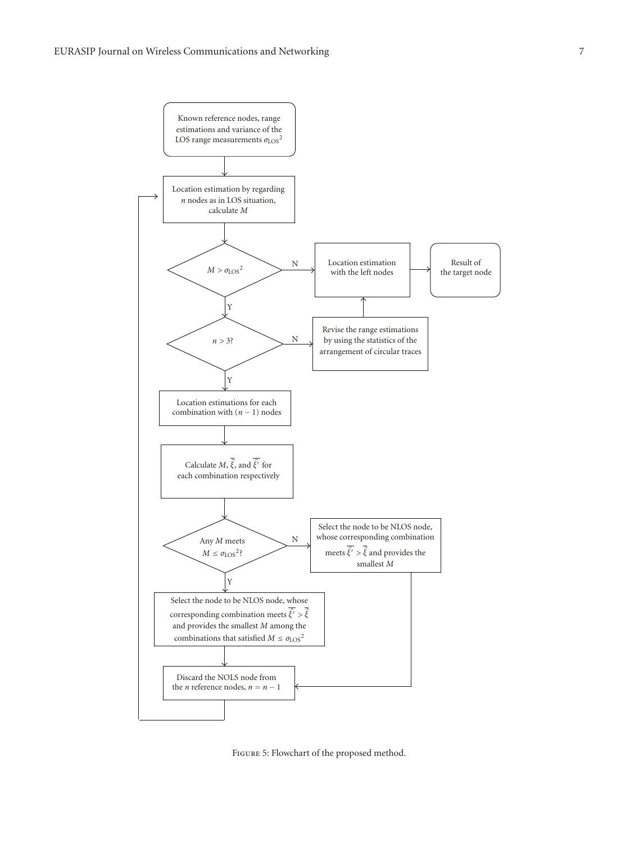

Figure 5: Flowchart of the proposed method.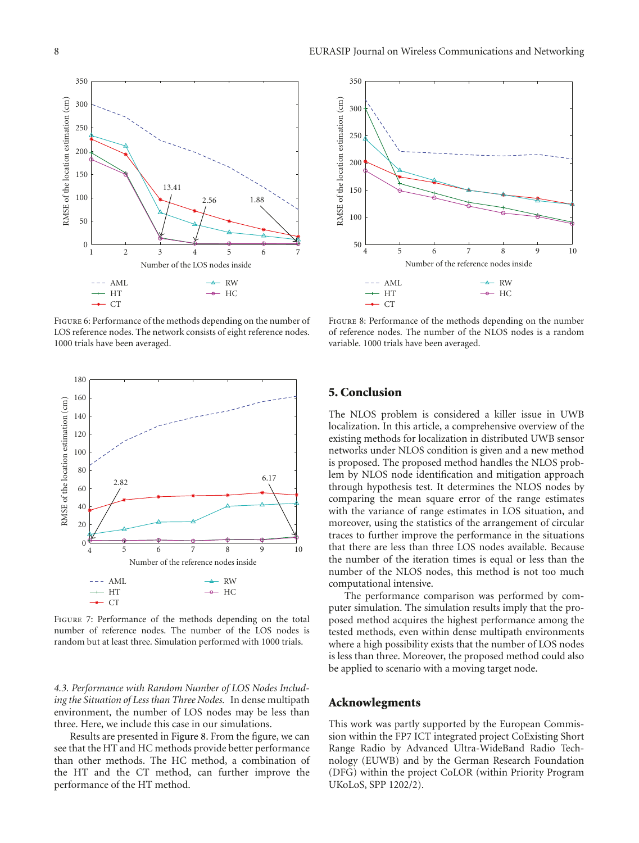

Figure 6: Performance of the methods depending on the number of LOS reference nodes. The network consists of eight reference nodes. 1000 trials have been averaged.



Figure 7: Performance of the methods depending on the total number of reference nodes. The number of the LOS nodes is random but at least three. Simulation performed with 1000 trials.

*4.3. Performance with Random Number of LOS Nodes Including the Situation of Less than Three Nodes.* In dense multipath environment, the number of LOS nodes may be less than three. Here, we include this case in our simulations.

Results are presented in Figure 8. From the figure, we can see that the HT and HC methods provide better performance than other methods. The HC method, a combination of the HT and the CT method, can further improve the performance of the HT method.



FIGURE 8: Performance of the methods depending on the number of reference nodes. The number of the NLOS nodes is a random variable. 1000 trials have been averaged.

### **5. Conclusion**

The NLOS problem is considered a killer issue in UWB localization. In this article, a comprehensive overview of the existing methods for localization in distributed UWB sensor networks under NLOS condition is given and a new method is proposed. The proposed method handles the NLOS problem by NLOS node identification and mitigation approach through hypothesis test. It determines the NLOS nodes by comparing the mean square error of the range estimates with the variance of range estimates in LOS situation, and moreover, using the statistics of the arrangement of circular traces to further improve the performance in the situations that there are less than three LOS nodes available. Because the number of the iteration times is equal or less than the number of the NLOS nodes, this method is not too much computational intensive.

The performance comparison was performed by computer simulation. The simulation results imply that the proposed method acquires the highest performance among the tested methods, even within dense multipath environments where a high possibility exists that the number of LOS nodes is less than three. Moreover, the proposed method could also be applied to scenario with a moving target node.

#### **Acknowlegments**

This work was partly supported by the European Commission within the FP7 ICT integrated project CoExisting Short Range Radio by Advanced Ultra-WideBand Radio Technology (EUWB) and by the German Research Foundation (DFG) within the project CoLOR (within Priority Program UKoLoS, SPP 1202/2).